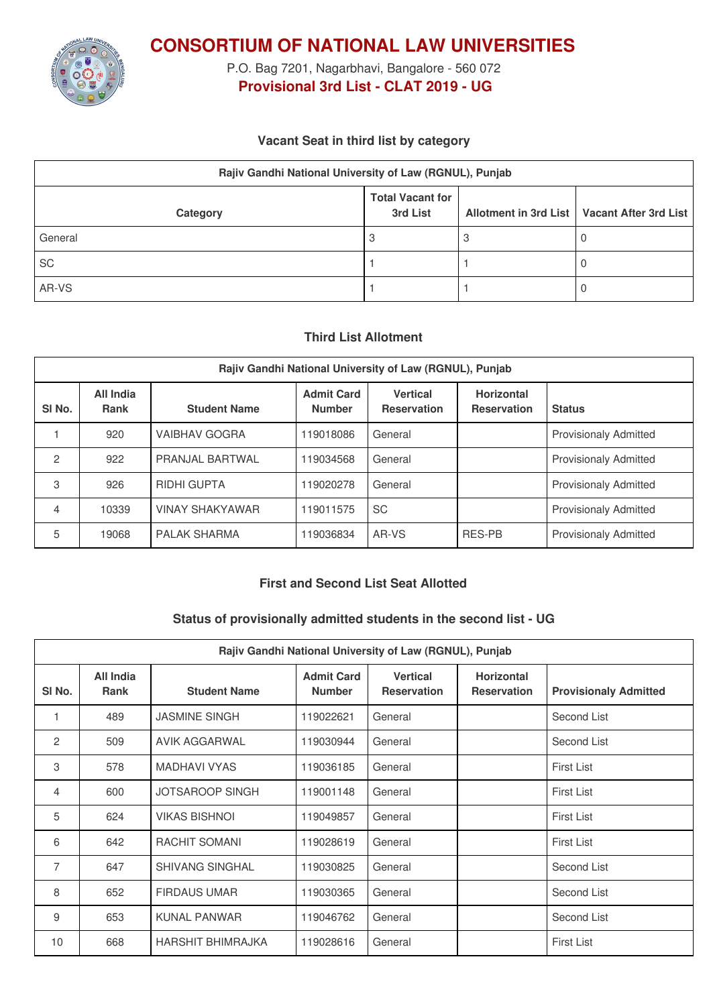

**CONSORTIUM OF NATIONAL LAW UNIVERSITIES**

P.O. Bag 7201, Nagarbhavi, Bangalore - 560 072 **Provisional 3rd List - CLAT 2019 - UG**

## **Vacant Seat in third list by category**

| Rajiv Gandhi National University of Law (RGNUL), Punjab                                          |  |  |  |  |  |  |  |
|--------------------------------------------------------------------------------------------------|--|--|--|--|--|--|--|
| <b>Total Vacant for</b><br>Allotment in 3rd List   Vacant After 3rd List<br>3rd List<br>Category |  |  |  |  |  |  |  |
| General                                                                                          |  |  |  |  |  |  |  |
| <b>SC</b>                                                                                        |  |  |  |  |  |  |  |
| AR-VS                                                                                            |  |  |  |  |  |  |  |

## **Third List Allotment**

| Rajiv Gandhi National University of Law (RGNUL), Punjab |                          |                        |                                    |                                       |                                  |                              |  |  |
|---------------------------------------------------------|--------------------------|------------------------|------------------------------------|---------------------------------------|----------------------------------|------------------------------|--|--|
| SI <sub>No.</sub>                                       | All India<br><b>Rank</b> | <b>Student Name</b>    | <b>Admit Card</b><br><b>Number</b> | <b>Vertical</b><br><b>Reservation</b> | Horizontal<br><b>Reservation</b> | <b>Status</b>                |  |  |
|                                                         | 920                      | <b>VAIBHAV GOGRA</b>   | 119018086                          | General                               |                                  | <b>Provisionaly Admitted</b> |  |  |
| $\mathbf{2}$                                            | 922                      | PRANJAL BARTWAL        | 119034568                          | General                               |                                  | <b>Provisionaly Admitted</b> |  |  |
| 3                                                       | 926                      | <b>RIDHI GUPTA</b>     | 119020278                          | General                               |                                  | <b>Provisionaly Admitted</b> |  |  |
| 4                                                       | 10339                    | <b>VINAY SHAKYAWAR</b> | 119011575                          | <b>SC</b>                             |                                  | <b>Provisionaly Admitted</b> |  |  |
| 5                                                       | 19068                    | <b>PALAK SHARMA</b>    | 119036834                          | AR-VS                                 | RES-PB                           | <b>Provisionaly Admitted</b> |  |  |

## **First and Second List Seat Allotted**

#### **Status of provisionally admitted students in the second list - UG**

| Rajiv Gandhi National University of Law (RGNUL), Punjab |                                 |                          |                                    |                                       |                                         |                              |  |
|---------------------------------------------------------|---------------------------------|--------------------------|------------------------------------|---------------------------------------|-----------------------------------------|------------------------------|--|
| SI No.                                                  | <b>All India</b><br><b>Rank</b> | <b>Student Name</b>      | <b>Admit Card</b><br><b>Number</b> | <b>Vertical</b><br><b>Reservation</b> | <b>Horizontal</b><br><b>Reservation</b> | <b>Provisionaly Admitted</b> |  |
|                                                         | 489                             | <b>JASMINE SINGH</b>     | 119022621                          | General                               |                                         | Second List                  |  |
| 2                                                       | 509                             | AVIK AGGARWAL            | 119030944                          | General                               |                                         | Second List                  |  |
| 3                                                       | 578                             | <b>MADHAVI VYAS</b>      | 119036185                          | General                               |                                         | <b>First List</b>            |  |
| $\overline{4}$                                          | 600                             | <b>JOTSAROOP SINGH</b>   | 119001148                          | General                               |                                         | <b>First List</b>            |  |
| 5                                                       | 624                             | <b>VIKAS BISHNOL</b>     | 119049857                          | General                               |                                         | <b>First List</b>            |  |
| 6                                                       | 642                             | RACHIT SOMANI            | 119028619                          | General                               |                                         | <b>First List</b>            |  |
| $\overline{7}$                                          | 647                             | <b>SHIVANG SINGHAL</b>   | 119030825                          | General                               |                                         | Second List                  |  |
| 8                                                       | 652                             | <b>FIRDAUS UMAR</b>      | 119030365                          | General                               |                                         | Second List                  |  |
| 9                                                       | 653                             | <b>KUNAL PANWAR</b>      | 119046762                          | General                               |                                         | Second List                  |  |
| 10                                                      | 668                             | <b>HARSHIT BHIMRAJKA</b> | 119028616                          | General                               |                                         | <b>First List</b>            |  |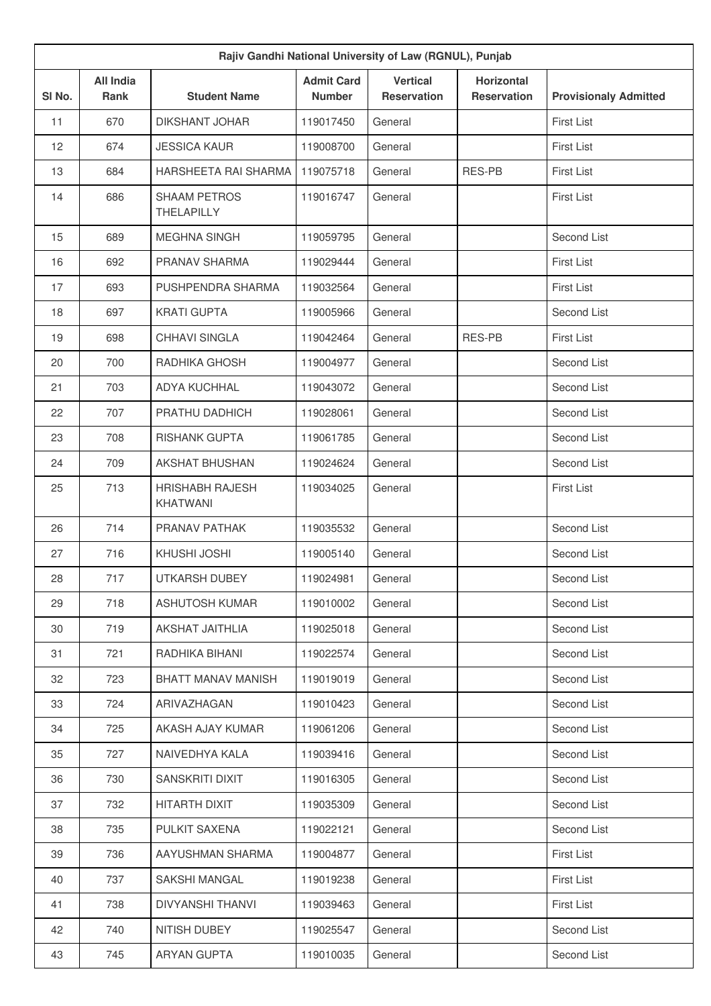| Rajiv Gandhi National University of Law (RGNUL), Punjab |                                 |                                           |                                    |                                       |                                         |                              |  |
|---------------------------------------------------------|---------------------------------|-------------------------------------------|------------------------------------|---------------------------------------|-----------------------------------------|------------------------------|--|
| SI No.                                                  | <b>All India</b><br><b>Rank</b> | <b>Student Name</b>                       | <b>Admit Card</b><br><b>Number</b> | <b>Vertical</b><br><b>Reservation</b> | <b>Horizontal</b><br><b>Reservation</b> | <b>Provisionaly Admitted</b> |  |
| 11                                                      | 670                             | <b>DIKSHANT JOHAR</b>                     | 119017450                          | General                               |                                         | <b>First List</b>            |  |
| 12                                                      | 674                             | <b>JESSICA KAUR</b>                       | 119008700                          | General                               |                                         | <b>First List</b>            |  |
| 13                                                      | 684                             | HARSHEETA RAI SHARMA                      | 119075718                          | General                               | <b>RES-PB</b>                           | <b>First List</b>            |  |
| 14                                                      | 686                             | <b>SHAAM PETROS</b><br>THELAPILLY         | 119016747                          | General                               |                                         | <b>First List</b>            |  |
| 15                                                      | 689                             | <b>MEGHNA SINGH</b>                       | 119059795                          | General                               |                                         | Second List                  |  |
| 16                                                      | 692                             | PRANAV SHARMA                             | 119029444                          | General                               |                                         | <b>First List</b>            |  |
| 17                                                      | 693                             | PUSHPENDRA SHARMA                         | 119032564                          | General                               |                                         | <b>First List</b>            |  |
| 18                                                      | 697                             | <b>KRATI GUPTA</b>                        | 119005966                          | General                               |                                         | Second List                  |  |
| 19                                                      | 698                             | <b>CHHAVI SINGLA</b>                      | 119042464                          | General                               | <b>RES-PB</b>                           | <b>First List</b>            |  |
| 20                                                      | 700                             | RADHIKA GHOSH                             | 119004977                          | General                               |                                         | Second List                  |  |
| 21                                                      | 703                             | <b>ADYA KUCHHAL</b>                       | 119043072                          | General                               |                                         | Second List                  |  |
| 22                                                      | 707                             | PRATHU DADHICH                            | 119028061                          | General                               |                                         | Second List                  |  |
| 23                                                      | 708                             | <b>RISHANK GUPTA</b>                      | 119061785                          | General                               |                                         | Second List                  |  |
| 24                                                      | 709                             | <b>AKSHAT BHUSHAN</b>                     | 119024624                          | General                               |                                         | Second List                  |  |
| 25                                                      | 713                             | <b>HRISHABH RAJESH</b><br><b>KHATWANI</b> | 119034025                          | General                               |                                         | <b>First List</b>            |  |
| 26                                                      | 714                             | PRANAV PATHAK                             | 119035532                          | General                               |                                         | Second List                  |  |
| 27                                                      | 716                             | KHUSHI JOSHI                              | 119005140                          | General                               |                                         | Second List                  |  |
| 28                                                      | 717                             | UTKARSH DUBEY                             | 119024981                          | General                               |                                         | Second List                  |  |
| 29                                                      | 718                             | <b>ASHUTOSH KUMAR</b>                     | 119010002                          | General                               |                                         | Second List                  |  |
| 30                                                      | 719                             | AKSHAT JAITHLIA                           | 119025018                          | General                               |                                         | Second List                  |  |
| 31                                                      | 721                             | RADHIKA BIHANI                            | 119022574                          | General                               |                                         | Second List                  |  |
| 32                                                      | 723                             | BHATT MANAV MANISH                        | 119019019                          | General                               |                                         | Second List                  |  |
| 33                                                      | 724                             | ARIVAZHAGAN                               | 119010423                          | General                               |                                         | Second List                  |  |
| 34                                                      | 725                             | AKASH AJAY KUMAR                          | 119061206                          | General                               |                                         | Second List                  |  |
| 35                                                      | 727                             | NAIVEDHYA KALA                            | 119039416                          | General                               |                                         | Second List                  |  |
| 36                                                      | 730                             | SANSKRITI DIXIT                           | 119016305                          | General                               |                                         | Second List                  |  |
| 37                                                      | 732                             | HITARTH DIXIT                             | 119035309                          | General                               |                                         | Second List                  |  |
| 38                                                      | 735                             | PULKIT SAXENA                             | 119022121                          | General                               |                                         | Second List                  |  |
| 39                                                      | 736                             | AAYUSHMAN SHARMA                          | 119004877                          | General                               |                                         | <b>First List</b>            |  |
| 40                                                      | 737                             | SAKSHI MANGAL                             | 119019238                          | General                               |                                         | <b>First List</b>            |  |
| 41                                                      | 738                             | <b>DIVYANSHI THANVI</b>                   | 119039463                          | General                               |                                         | <b>First List</b>            |  |
| 42                                                      | 740                             | NITISH DUBEY                              | 119025547                          | General                               |                                         | Second List                  |  |
| 43                                                      | 745                             | ARYAN GUPTA                               | 119010035                          | General                               |                                         | Second List                  |  |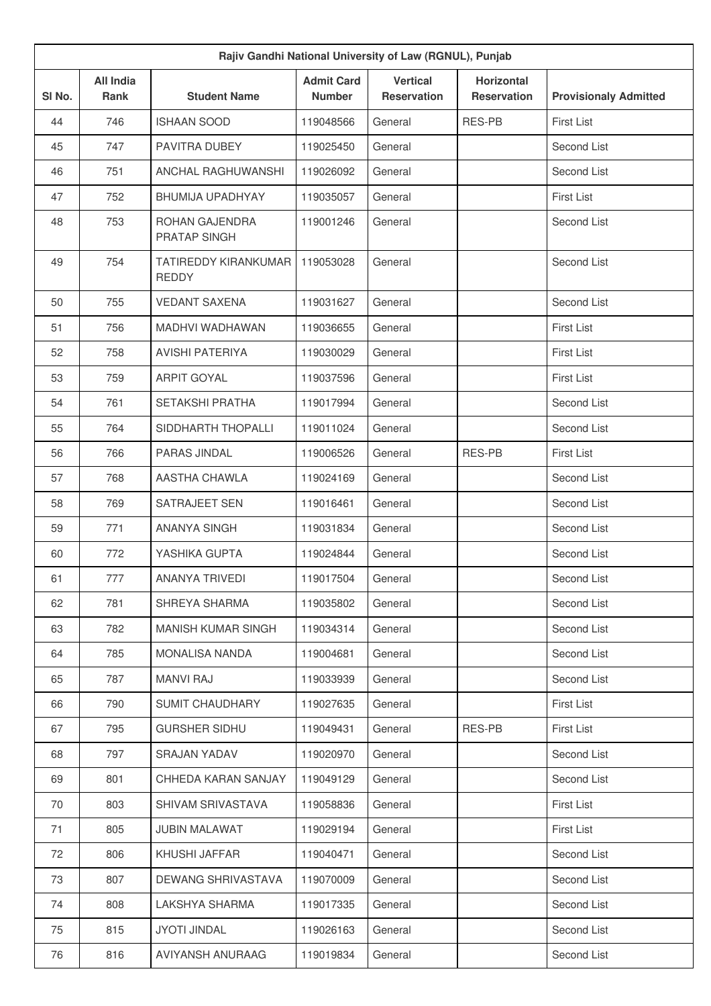| Rajiv Gandhi National University of Law (RGNUL), Punjab |                                 |                                      |                                    |                                       |                                         |                              |  |
|---------------------------------------------------------|---------------------------------|--------------------------------------|------------------------------------|---------------------------------------|-----------------------------------------|------------------------------|--|
| SI <sub>No.</sub>                                       | <b>All India</b><br><b>Rank</b> | <b>Student Name</b>                  | <b>Admit Card</b><br><b>Number</b> | <b>Vertical</b><br><b>Reservation</b> | <b>Horizontal</b><br><b>Reservation</b> | <b>Provisionaly Admitted</b> |  |
| 44                                                      | 746                             | <b>ISHAAN SOOD</b>                   | 119048566                          | General                               | <b>RES-PB</b>                           | <b>First List</b>            |  |
| 45                                                      | 747                             | PAVITRA DUBEY                        | 119025450                          | General                               |                                         | Second List                  |  |
| 46                                                      | 751                             | <b>ANCHAL RAGHUWANSHI</b>            | 119026092                          | General                               |                                         | Second List                  |  |
| 47                                                      | 752                             | <b>BHUMIJA UPADHYAY</b>              | 119035057                          | General                               |                                         | <b>First List</b>            |  |
| 48                                                      | 753                             | ROHAN GAJENDRA<br>PRATAP SINGH       | 119001246                          | General                               |                                         | Second List                  |  |
| 49                                                      | 754                             | TATIREDDY KIRANKUMAR<br><b>REDDY</b> | 119053028                          | General                               |                                         | Second List                  |  |
| 50                                                      | 755                             | <b>VEDANT SAXENA</b>                 | 119031627                          | General                               |                                         | Second List                  |  |
| 51                                                      | 756                             | MADHVI WADHAWAN                      | 119036655                          | General                               |                                         | <b>First List</b>            |  |
| 52                                                      | 758                             | <b>AVISHI PATERIYA</b>               | 119030029                          | General                               |                                         | <b>First List</b>            |  |
| 53                                                      | 759                             | <b>ARPIT GOYAL</b>                   | 119037596                          | General                               |                                         | <b>First List</b>            |  |
| 54                                                      | 761                             | <b>SETAKSHI PRATHA</b>               | 119017994                          | General                               |                                         | Second List                  |  |
| 55                                                      | 764                             | SIDDHARTH THOPALLI                   | 119011024                          | General                               |                                         | Second List                  |  |
| 56                                                      | 766                             | PARAS JINDAL                         | 119006526                          | General                               | <b>RES-PB</b>                           | <b>First List</b>            |  |
| 57                                                      | 768                             | AASTHA CHAWLA                        | 119024169                          | General                               |                                         | Second List                  |  |
| 58                                                      | 769                             | SATRAJEET SEN                        | 119016461                          | General                               |                                         | Second List                  |  |
| 59                                                      | 771                             | <b>ANANYA SINGH</b>                  | 119031834                          | General                               |                                         | Second List                  |  |
| 60                                                      | 772                             | YASHIKA GUPTA                        | 119024844                          | General                               |                                         | Second List                  |  |
| 61                                                      | 777                             | ANANYA TRIVEDI                       | 119017504                          | General                               |                                         | Second List                  |  |
| 62                                                      | 781                             | SHREYA SHARMA                        | 119035802                          | General                               |                                         | Second List                  |  |
| 63                                                      | 782                             | <b>MANISH KUMAR SINGH</b>            | 119034314                          | General                               |                                         | Second List                  |  |
| 64                                                      | 785                             | <b>MONALISA NANDA</b>                | 119004681                          | General                               |                                         | Second List                  |  |
| 65                                                      | 787                             | <b>MANVI RAJ</b>                     | 119033939                          | General                               |                                         | Second List                  |  |
| 66                                                      | 790                             | <b>SUMIT CHAUDHARY</b>               | 119027635                          | General                               |                                         | <b>First List</b>            |  |
| 67                                                      | 795                             | <b>GURSHER SIDHU</b>                 | 119049431                          | General                               | RES-PB                                  | <b>First List</b>            |  |
| 68                                                      | 797                             | <b>SRAJAN YADAV</b>                  | 119020970                          | General                               |                                         | Second List                  |  |
| 69                                                      | 801                             | CHHEDA KARAN SANJAY                  | 119049129                          | General                               |                                         | Second List                  |  |
| 70                                                      | 803                             | SHIVAM SRIVASTAVA                    | 119058836                          | General                               |                                         | <b>First List</b>            |  |
| 71                                                      | 805                             | <b>JUBIN MALAWAT</b>                 | 119029194                          | General                               |                                         | <b>First List</b>            |  |
| 72                                                      | 806                             | KHUSHI JAFFAR                        | 119040471                          | General                               |                                         | Second List                  |  |
| 73                                                      | 807                             | DEWANG SHRIVASTAVA                   | 119070009                          | General                               |                                         | Second List                  |  |
| 74                                                      | 808                             | LAKSHYA SHARMA                       | 119017335                          | General                               |                                         | Second List                  |  |
| 75                                                      | 815                             | <b>JYOTI JINDAL</b>                  | 119026163                          | General                               |                                         | Second List                  |  |
| 76                                                      | 816                             | AVIYANSH ANURAAG                     | 119019834                          | General                               |                                         | Second List                  |  |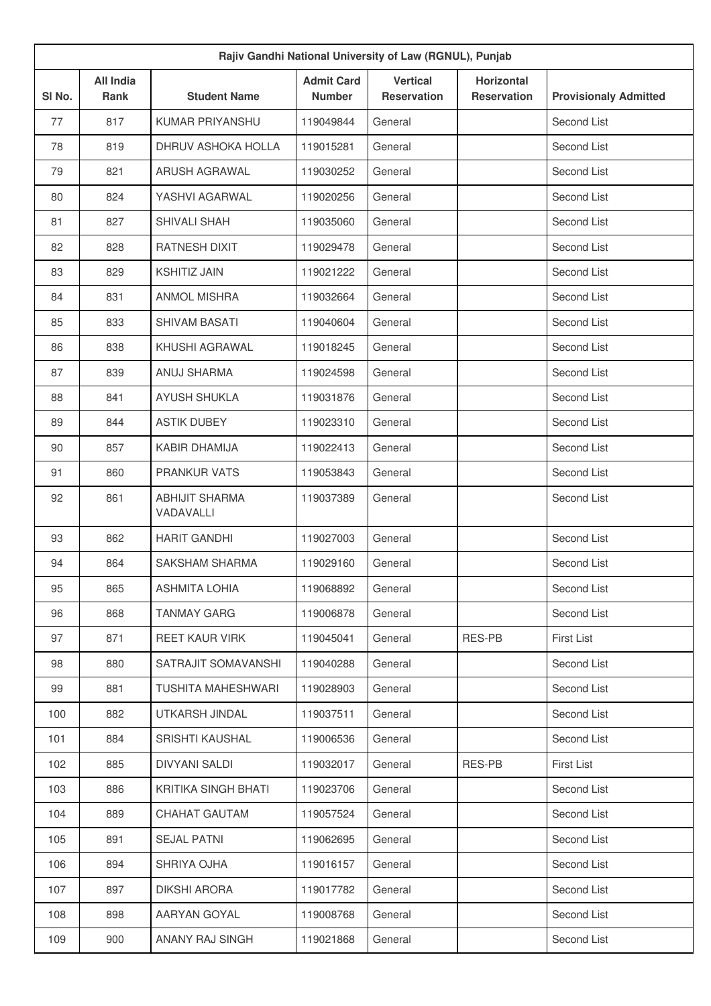|                   | Rajiv Gandhi National University of Law (RGNUL), Punjab |                                    |                                    |                                       |                                         |                              |  |  |
|-------------------|---------------------------------------------------------|------------------------------------|------------------------------------|---------------------------------------|-----------------------------------------|------------------------------|--|--|
| SI <sub>No.</sub> | <b>All India</b><br><b>Rank</b>                         | <b>Student Name</b>                | <b>Admit Card</b><br><b>Number</b> | <b>Vertical</b><br><b>Reservation</b> | <b>Horizontal</b><br><b>Reservation</b> | <b>Provisionaly Admitted</b> |  |  |
| 77                | 817                                                     | <b>KUMAR PRIYANSHU</b>             | 119049844                          | General                               |                                         | Second List                  |  |  |
| 78                | 819                                                     | DHRUV ASHOKA HOLLA                 | 119015281                          | General                               |                                         | Second List                  |  |  |
| 79                | 821                                                     | <b>ARUSH AGRAWAL</b>               | 119030252                          | General                               |                                         | Second List                  |  |  |
| 80                | 824                                                     | YASHVI AGARWAL                     | 119020256                          | General                               |                                         | Second List                  |  |  |
| 81                | 827                                                     | SHIVALI SHAH                       | 119035060                          | General                               |                                         | Second List                  |  |  |
| 82                | 828                                                     | RATNESH DIXIT                      | 119029478                          | General                               |                                         | Second List                  |  |  |
| 83                | 829                                                     | <b>KSHITIZ JAIN</b>                | 119021222                          | General                               |                                         | Second List                  |  |  |
| 84                | 831                                                     | <b>ANMOL MISHRA</b>                | 119032664                          | General                               |                                         | Second List                  |  |  |
| 85                | 833                                                     | SHIVAM BASATI                      | 119040604                          | General                               |                                         | Second List                  |  |  |
| 86                | 838                                                     | KHUSHI AGRAWAI                     | 119018245                          | General                               |                                         | Second List                  |  |  |
| 87                | 839                                                     | ANUJ SHARMA                        | 119024598                          | General                               |                                         | Second List                  |  |  |
| 88                | 841                                                     | <b>AYUSH SHUKLA</b>                | 119031876                          | General                               |                                         | Second List                  |  |  |
| 89                | 844                                                     | <b>ASTIK DUBEY</b>                 | 119023310                          | General                               |                                         | Second List                  |  |  |
| 90                | 857                                                     | <b>KABIR DHAMIJA</b>               | 119022413                          | General                               |                                         | Second List                  |  |  |
| 91                | 860                                                     | <b>PRANKUR VATS</b>                | 119053843                          | General                               |                                         | Second List                  |  |  |
| 92                | 861                                                     | <b>ABHIJIT SHARMA</b><br>VADAVALLI | 119037389                          | General                               |                                         | Second List                  |  |  |
| 93                | 862                                                     | <b>HARIT GANDHI</b>                | 119027003                          | General                               |                                         | Second List                  |  |  |
| 94                | 864                                                     | <b>SAKSHAM SHARMA</b>              | 119029160                          | General                               |                                         | Second List                  |  |  |
| 95                | 865                                                     | <b>ASHMITA LOHIA</b>               | 119068892                          | General                               |                                         | Second List                  |  |  |
| 96                | 868                                                     | <b>TANMAY GARG</b>                 | 119006878                          | General                               |                                         | Second List                  |  |  |
| 97                | 871                                                     | <b>REET KAUR VIRK</b>              | 119045041                          | General                               | RES-PB                                  | <b>First List</b>            |  |  |
| 98                | 880                                                     | SATRAJIT SOMAVANSHI                | 119040288                          | General                               |                                         | Second List                  |  |  |
| 99                | 881                                                     | TUSHITA MAHESHWARI                 | 119028903                          | General                               |                                         | Second List                  |  |  |
| 100               | 882                                                     | UTKARSH JINDAL                     | 119037511                          | General                               |                                         | Second List                  |  |  |
| 101               | 884                                                     | <b>SRISHTI KAUSHAL</b>             | 119006536                          | General                               |                                         | Second List                  |  |  |
| 102               | 885                                                     | <b>DIVYANI SALDI</b>               | 119032017                          | General                               | RES-PB                                  | <b>First List</b>            |  |  |
| 103               | 886                                                     | KRITIKA SINGH BHATI                | 119023706                          | General                               |                                         | Second List                  |  |  |
| 104               | 889                                                     | CHAHAT GAUTAM                      | 119057524                          | General                               |                                         | Second List                  |  |  |
| 105               | 891                                                     | <b>SEJAL PATNI</b>                 | 119062695                          | General                               |                                         | Second List                  |  |  |
| 106               | 894                                                     | SHRIYA OJHA                        | 119016157                          | General                               |                                         | Second List                  |  |  |
| 107               | 897                                                     | <b>DIKSHI ARORA</b>                | 119017782                          | General                               |                                         | Second List                  |  |  |
| 108               | 898                                                     | AARYAN GOYAL                       | 119008768                          | General                               |                                         | Second List                  |  |  |
| 109               | 900                                                     | ANANY RAJ SINGH                    | 119021868                          | General                               |                                         | Second List                  |  |  |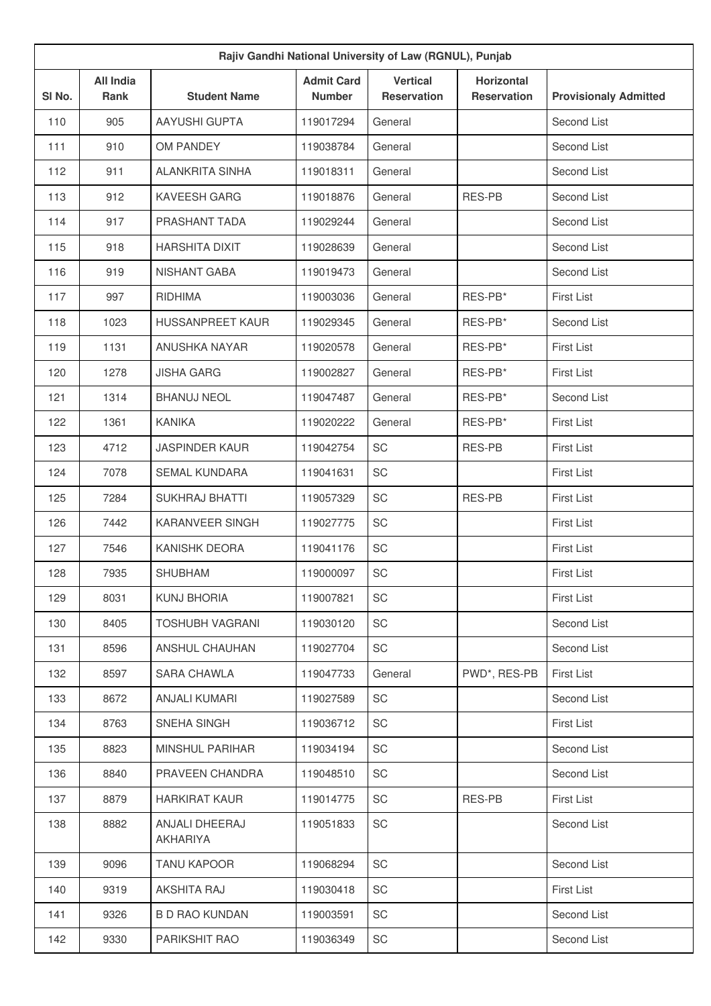| Rajiv Gandhi National University of Law (RGNUL), Punjab |                                 |                            |                                    |                                       |                                         |                              |  |
|---------------------------------------------------------|---------------------------------|----------------------------|------------------------------------|---------------------------------------|-----------------------------------------|------------------------------|--|
| SI No.                                                  | <b>All India</b><br><b>Rank</b> | <b>Student Name</b>        | <b>Admit Card</b><br><b>Number</b> | <b>Vertical</b><br><b>Reservation</b> | <b>Horizontal</b><br><b>Reservation</b> | <b>Provisionaly Admitted</b> |  |
| 110                                                     | 905                             | <b>AAYUSHI GUPTA</b>       | 119017294                          | General                               |                                         | Second List                  |  |
| 111                                                     | 910                             | OM PANDEY                  | 119038784                          | General                               |                                         | Second List                  |  |
| 112                                                     | 911                             | <b>ALANKRITA SINHA</b>     | 119018311                          | General                               |                                         | Second List                  |  |
| 113                                                     | 912                             | <b>KAVEESH GARG</b>        | 119018876                          | General                               | RES-PB                                  | Second List                  |  |
| 114                                                     | 917                             | PRASHANT TADA              | 119029244                          | General                               |                                         | Second List                  |  |
| 115                                                     | 918                             | <b>HARSHITA DIXIT</b>      | 119028639                          | General                               |                                         | Second List                  |  |
| 116                                                     | 919                             | NISHANT GABA               | 119019473                          | General                               |                                         | Second List                  |  |
| 117                                                     | 997                             | <b>RIDHIMA</b>             | 119003036                          | General                               | RES-PB*                                 | <b>First List</b>            |  |
| 118                                                     | 1023                            | <b>HUSSANPREET KAUR</b>    | 119029345                          | General                               | RES-PB*                                 | Second List                  |  |
| 119                                                     | 1131                            | ANUSHKA NAYAR              | 119020578                          | General                               | RES-PB*                                 | <b>First List</b>            |  |
| 120                                                     | 1278                            | <b>JISHA GARG</b>          | 119002827                          | General                               | RES-PB*                                 | <b>First List</b>            |  |
| 121                                                     | 1314                            | <b>BHANUJ NEOL</b>         | 119047487                          | General                               | RES-PB*                                 | Second List                  |  |
| 122                                                     | 1361                            | <b>KANIKA</b>              | 119020222                          | General                               | RES-PB*                                 | <b>First List</b>            |  |
| 123                                                     | 4712                            | <b>JASPINDER KAUR</b>      | 119042754                          | SC                                    | <b>RES-PB</b>                           | <b>First List</b>            |  |
| 124                                                     | 7078                            | <b>SEMAL KUNDARA</b>       | 119041631                          | SC                                    |                                         | <b>First List</b>            |  |
| 125                                                     | 7284                            | <b>SUKHRAJ BHATTI</b>      | 119057329                          | <b>SC</b>                             | <b>RES-PB</b>                           | First List                   |  |
| 126                                                     | 7442                            | KARANVEER SINGH            | 119027775                          | SC                                    |                                         | <b>First List</b>            |  |
| 127                                                     | 7546                            | <b>KANISHK DEORA</b>       | 119041176                          | SC                                    |                                         | <b>First List</b>            |  |
| 128                                                     | 7935                            | <b>SHUBHAM</b>             | 119000097                          | SC                                    |                                         | <b>First List</b>            |  |
| 129                                                     | 8031                            | KUNJ BHORIA                | 119007821                          | SC                                    |                                         | <b>First List</b>            |  |
| 130                                                     | 8405                            | <b>TOSHUBH VAGRANI</b>     | 119030120                          | SC                                    |                                         | Second List                  |  |
| 131                                                     | 8596                            | ANSHUL CHAUHAN             | 119027704                          | SC                                    |                                         | Second List                  |  |
| 132                                                     | 8597                            | SARA CHAWLA                | 119047733                          | General                               | PWD*, RES-PB                            | <b>First List</b>            |  |
| 133                                                     | 8672                            | <b>ANJALI KUMARI</b>       | 119027589                          | SC                                    |                                         | Second List                  |  |
| 134                                                     | 8763                            | SNEHA SINGH                | 119036712                          | SC                                    |                                         | <b>First List</b>            |  |
| 135                                                     | 8823                            | <b>MINSHUL PARIHAR</b>     | 119034194                          | SC                                    |                                         | Second List                  |  |
| 136                                                     | 8840                            | PRAVEEN CHANDRA            | 119048510                          | SC                                    |                                         | Second List                  |  |
| 137                                                     | 8879                            | <b>HARKIRAT KAUR</b>       | 119014775                          | SC                                    | RES-PB                                  | <b>First List</b>            |  |
| 138                                                     | 8882                            | ANJALI DHEERAJ<br>AKHARIYA | 119051833                          | SC                                    |                                         | Second List                  |  |
| 139                                                     | 9096                            | <b>TANU KAPOOR</b>         | 119068294                          | SC                                    |                                         | Second List                  |  |
| 140                                                     | 9319                            | AKSHITA RAJ                | 119030418                          | SC                                    |                                         | <b>First List</b>            |  |
| 141                                                     | 9326                            | <b>B D RAO KUNDAN</b>      | 119003591                          | SC                                    |                                         | Second List                  |  |
| 142                                                     | 9330                            | PARIKSHIT RAO              | 119036349                          | SC                                    |                                         | Second List                  |  |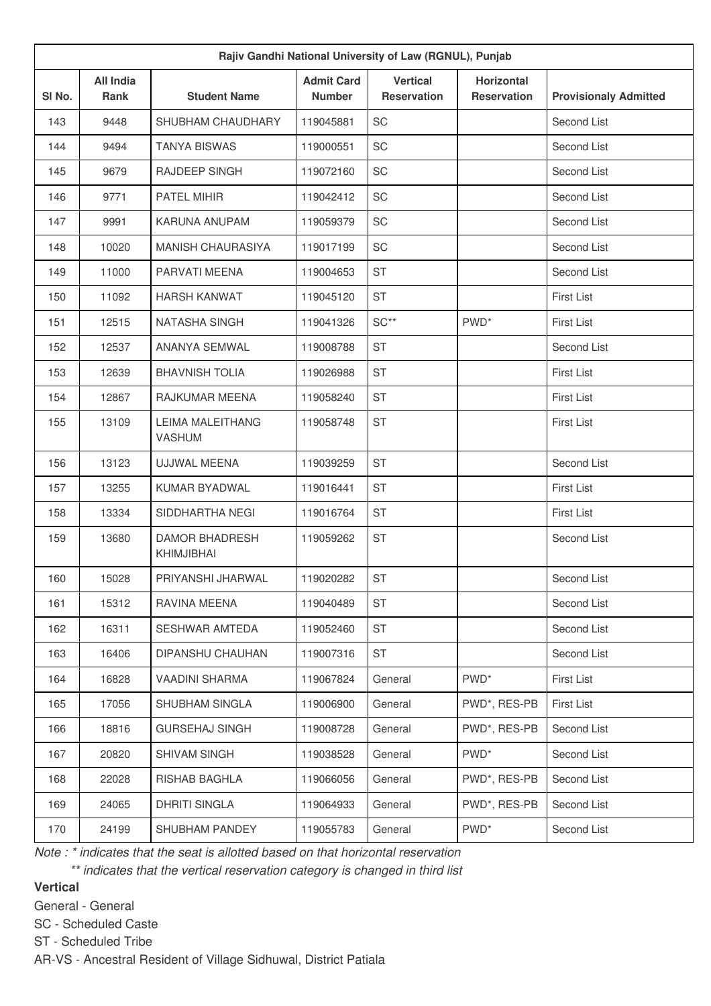| Rajiv Gandhi National University of Law (RGNUL), Punjab |                          |                                          |                                    |                                       |                                         |                              |  |  |
|---------------------------------------------------------|--------------------------|------------------------------------------|------------------------------------|---------------------------------------|-----------------------------------------|------------------------------|--|--|
| SI No.                                                  | <b>All India</b><br>Rank | <b>Student Name</b>                      | <b>Admit Card</b><br><b>Number</b> | <b>Vertical</b><br><b>Reservation</b> | <b>Horizontal</b><br><b>Reservation</b> | <b>Provisionaly Admitted</b> |  |  |
| 143                                                     | 9448                     | SHUBHAM CHAUDHARY                        | 119045881                          | SC                                    |                                         | Second List                  |  |  |
| 144                                                     | 9494                     | <b>TANYA BISWAS</b>                      | 119000551                          | <b>SC</b>                             |                                         | Second List                  |  |  |
| 145                                                     | 9679                     | RAJDEEP SINGH                            | 119072160                          | SC                                    |                                         | Second List                  |  |  |
| 146                                                     | 9771                     | PATEL MIHIR                              | 119042412                          | SC                                    |                                         | Second List                  |  |  |
| 147                                                     | 9991                     | <b>KARUNA ANUPAM</b>                     | 119059379                          | SC                                    |                                         | Second List                  |  |  |
| 148                                                     | 10020                    | <b>MANISH CHAURASIYA</b>                 | 119017199                          | SC                                    |                                         | Second List                  |  |  |
| 149                                                     | 11000                    | PARVATI MEENA                            | 119004653                          | <b>ST</b>                             |                                         | Second List                  |  |  |
| 150                                                     | 11092                    | <b>HARSH KANWAT</b>                      | 119045120                          | <b>ST</b>                             |                                         | <b>First List</b>            |  |  |
| 151                                                     | 12515                    | NATASHA SINGH                            | 119041326                          | $SC**$                                | PWD <sup>*</sup>                        | <b>First List</b>            |  |  |
| 152                                                     | 12537                    | ANANYA SEMWAL                            | 119008788                          | <b>ST</b>                             |                                         | Second List                  |  |  |
| 153                                                     | 12639                    | <b>BHAVNISH TOLIA</b>                    | 119026988                          | <b>ST</b>                             |                                         | <b>First List</b>            |  |  |
| 154                                                     | 12867                    | RAJKUMAR MEENA                           | 119058240                          | <b>ST</b>                             |                                         | <b>First List</b>            |  |  |
| 155                                                     | 13109                    | <b>LEIMA MALEITHANG</b><br><b>VASHUM</b> | 119058748                          | <b>ST</b>                             |                                         | <b>First List</b>            |  |  |
| 156                                                     | 13123                    | <b>UJJWAL MEENA</b>                      | 119039259                          | <b>ST</b>                             |                                         | Second List                  |  |  |
| 157                                                     | 13255                    | KUMAR BYADWAL                            | 119016441                          | <b>ST</b>                             |                                         | <b>First List</b>            |  |  |
| 158                                                     | 13334                    | SIDDHARTHA NEGI                          | 119016764                          | <b>ST</b>                             |                                         | <b>First List</b>            |  |  |
| 159                                                     | 13680                    | <b>DAMOR BHADRESH</b><br>KHIMJIBHAI      | 119059262                          | <b>ST</b>                             |                                         | Second List                  |  |  |
| 160                                                     | 15028                    | PRIYANSHI JHARWAL                        | 119020282                          | <b>ST</b>                             |                                         | Second List                  |  |  |
| 161                                                     | 15312                    | RAVINA MEENA                             | 119040489                          | ST                                    |                                         | Second List                  |  |  |
| 162                                                     | 16311                    | <b>SESHWAR AMTEDA</b>                    | 119052460                          | <b>ST</b>                             |                                         | Second List                  |  |  |
| 163                                                     | 16406                    | DIPANSHU CHAUHAN                         | 119007316                          | <b>ST</b>                             |                                         | Second List                  |  |  |
| 164                                                     | 16828                    | VAADINI SHARMA                           | 119067824                          | General                               | PWD <sup>*</sup>                        | <b>First List</b>            |  |  |
| 165                                                     | 17056                    | SHUBHAM SINGLA                           | 119006900                          | General                               | PWD*, RES-PB                            | First List                   |  |  |
| 166                                                     | 18816                    | <b>GURSEHAJ SINGH</b>                    | 119008728                          | General                               | PWD*, RES-PB                            | Second List                  |  |  |
| 167                                                     | 20820                    | SHIVAM SINGH                             | 119038528                          | General                               | PWD <sup>*</sup>                        | Second List                  |  |  |
| 168                                                     | 22028                    | RISHAB BAGHLA                            | 119066056                          | General                               | PWD*, RES-PB                            | Second List                  |  |  |
| 169                                                     | 24065                    | <b>DHRITI SINGLA</b>                     | 119064933                          | General                               | PWD*, RES-PB                            | Second List                  |  |  |
| 170                                                     | 24199                    | SHUBHAM PANDEY                           | 119055783                          | General                               | PWD <sup>*</sup>                        | Second List                  |  |  |

*Note : \* indicates that the seat is allotted based on that horizontal reservation*

*\*\* indicates that the vertical reservation category is changed in third list*

# **Vertical**

General - General

SC - Scheduled Caste

ST - Scheduled Tribe

AR-VS - Ancestral Resident of Village Sidhuwal, District Patiala